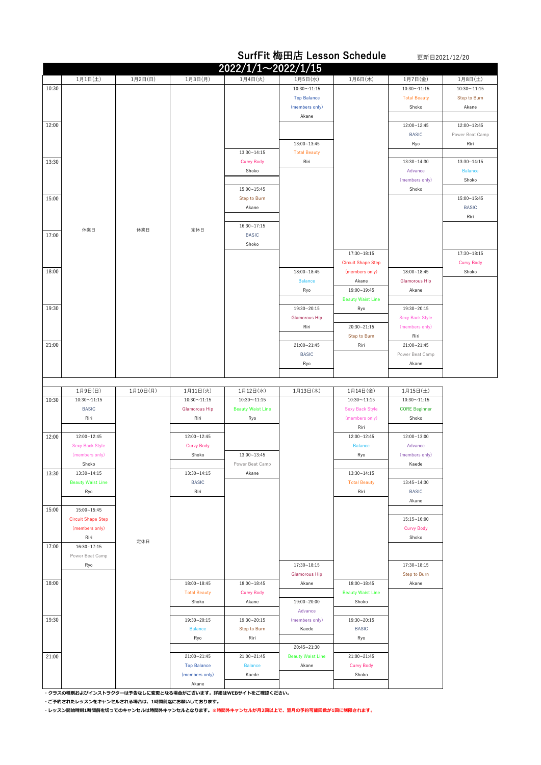|       |                           |          |                      |                          |                             | <b>SurfFit 梅田店 Lesson Schedule</b> |                                | 更新日2021/12/20     |
|-------|---------------------------|----------|----------------------|--------------------------|-----------------------------|------------------------------------|--------------------------------|-------------------|
|       |                           |          |                      | 2022/1/1~2022/1/15       |                             |                                    |                                |                   |
|       | 1月1日(土)                   | 1月2日(日)  | 1月3日(月)              | 1月4日(火)                  | 1月5日(水)                     | 1月6日(木)                            | 1月7日(金)                        | 1月8日(土)           |
| 10:30 |                           |          |                      |                          | $10:30 - 11:15$             |                                    | $10:30 \sim 11:15$             | $10:30 - 11:15$   |
|       |                           |          |                      |                          | <b>Top Balance</b>          |                                    | <b>Total Beauty</b>            | Step to Burn      |
|       |                           |          |                      |                          | (members only)              |                                    | Shoko                          | Akane             |
|       |                           |          |                      |                          | Akane                       |                                    |                                |                   |
| 12:00 |                           |          |                      |                          |                             |                                    | 12:00~12:45                    | 12:00~12:45       |
|       |                           |          |                      |                          |                             |                                    | <b>BASIC</b>                   | Power Beat Camp   |
|       |                           |          |                      |                          | $13:00 - 13:45$             |                                    | Ryo                            | Riri              |
|       |                           |          |                      | 13:30~14:15              | <b>Total Beauty</b>         |                                    |                                |                   |
| 13:30 |                           |          |                      | <b>Curvy Body</b>        | Riri                        |                                    | 13:30~14:30                    | $13:30 - 14:15$   |
|       |                           |          |                      | Shoko                    |                             |                                    | Advance                        | <b>Balance</b>    |
|       |                           |          |                      | $15:00 - 15:45$          |                             |                                    | (members only)<br>Shoko        | Shoko             |
| 15:00 |                           |          |                      | Step to Burn             |                             |                                    |                                | 15:00~15:45       |
|       |                           |          |                      | Akane                    |                             |                                    |                                | <b>BASIC</b>      |
|       |                           |          |                      |                          |                             |                                    |                                | Riri              |
|       |                           |          |                      | 16:30~17:15              |                             |                                    |                                |                   |
| 17:00 | 休業日                       | 休業日      | 定休日                  | <b>BASIC</b>             |                             |                                    |                                |                   |
|       |                           |          |                      | Shoko                    |                             |                                    |                                |                   |
|       |                           |          |                      |                          |                             | $17:30 - 18:15$                    |                                | $17:30 - 18:15$   |
|       |                           |          |                      |                          |                             | <b>Circuit Shape Step</b>          |                                | <b>Curvy Body</b> |
| 18:00 |                           |          |                      |                          | $18:00 - 18:45$             | (members only)                     | $18:00 - 18:45$                | Shoko             |
|       |                           |          |                      |                          | <b>Balance</b>              | Akane                              | <b>Glamorous Hip</b>           |                   |
|       |                           |          |                      |                          | Ryo                         | 19:00~19:45                        | Akane                          |                   |
|       |                           |          |                      |                          |                             | <b>Beauty Waist Line</b>           |                                |                   |
| 19:30 |                           |          |                      |                          | 19:30~20:15                 | Ryo                                | 19:30~20:15                    |                   |
|       |                           |          |                      |                          | <b>Glamorous Hip</b>        |                                    | <b>Sexy Back Style</b>         |                   |
|       |                           |          |                      |                          | Riri                        | 20:30~21:15                        | (members only)                 |                   |
|       |                           |          |                      |                          |                             | <b>Step to Burn</b>                | Riri                           |                   |
| 21:00 |                           |          |                      |                          | 21:00~21:45<br><b>BASIC</b> | Riri                               | 21:00~21:45<br>Power Beat Camp |                   |
|       |                           |          |                      |                          | Ryo                         |                                    | Akane                          |                   |
|       |                           |          |                      |                          |                             |                                    |                                |                   |
|       |                           |          |                      |                          |                             |                                    |                                |                   |
|       | 1月9日(日)                   | 1月10日(月) | 1月11日(火)             | 1月12日(水)                 | 1月13日(木)                    | 1月14日(金)                           | 1月15日(土)                       |                   |
| 10:30 | $10:30 - 11:15$           |          | $10:30 - 11:15$      | $10:30 - 11:15$          |                             | $10:30 - 11:15$                    | $10:30 - 11:15$                |                   |
|       | <b>BASIC</b>              |          | <b>Glamorous Hip</b> | <b>Beauty Waist Line</b> |                             | <b>Sexy Back Style</b>             | <b>CORE Beginner</b>           |                   |
|       | Riri                      |          | Riri                 | Ryo                      |                             | (members only)                     | Shoko                          |                   |
|       |                           |          |                      |                          |                             | Riri                               |                                |                   |
| 12:00 | 12:00~12:45               |          | 12:00~12:45          |                          |                             | $12:00 - 12:45$                    | 12:00~13:00                    |                   |
|       | <b>Sexy Back Style</b>    |          | <b>Curvy Body</b>    |                          |                             | <b>Balance</b>                     | Advance                        |                   |
|       | (members only)            |          | Shoko                | $13:00 - 13:45$          |                             | Ryo                                | (members only)                 |                   |
|       | Shoko<br>$13:30 - 14:15$  |          | $13:30 - 14:15$      | Power Beat Camp          |                             | $13:30 - 14:15$                    | Kaede                          |                   |
| 13:30 | <b>Beauty Waist Line</b>  |          | <b>BASIC</b>         | Akane                    |                             | <b>Total Beauty</b>                | 13:45~14:30                    |                   |
|       | Ryo                       |          | Riri                 |                          |                             | Riri                               | <b>BASIC</b>                   |                   |
|       |                           |          |                      |                          |                             |                                    | Akane                          |                   |
| 15:00 | 15:00~15:45               |          |                      |                          |                             |                                    |                                |                   |
|       | <b>Circuit Shape Step</b> |          |                      |                          |                             |                                    | $15:15 - 16:00$                |                   |
|       | (members only)            |          |                      |                          |                             |                                    | <b>Curvy Body</b>              |                   |
|       | Riri                      | 定休日      |                      |                          |                             |                                    | Shoko                          |                   |
| 17:00 | 16:30~17:15               |          |                      |                          |                             |                                    |                                |                   |
|       | Power Beat Camp           |          |                      |                          |                             |                                    |                                |                   |
|       |                           |          |                      |                          |                             |                                    |                                |                   |
|       | Ryo                       |          |                      |                          | 17:30~18:15                 |                                    | 17:30~18:15                    |                   |
|       |                           |          |                      |                          | <b>Glamorous Hip</b>        |                                    | Step to Burn                   |                   |
| 18:00 |                           |          | $18:00 - 18:45$      | 18:00~18:45              | Akane                       | $18:00 - 18:45$                    | Akane                          |                   |
|       |                           |          | <b>Total Beauty</b>  | <b>Curvy Body</b>        |                             | <b>Beauty Waist Line</b>           |                                |                   |
|       |                           |          | Shoko                | Akane                    | 19:00~20:00                 | Shoko                              |                                |                   |
|       |                           |          |                      |                          | Advance                     |                                    |                                |                   |
| 19:30 |                           |          | 19:30~20:15          | 19:30~20:15              | (members only)              | 19:30~20:15                        |                                |                   |
|       |                           |          | <b>Balance</b>       | Step to Burn             | Kaede                       | <b>BASIC</b>                       |                                |                   |
|       |                           |          | Ryo                  | Riri                     | 20:45~21:30                 | Ryo                                |                                |                   |
| 21:00 |                           |          | 21:00~21:45          | 21:00~21:45              | <b>Beauty Waist Line</b>    | 21:00~21:45                        |                                |                   |
|       |                           |          | <b>Top Balance</b>   | <b>Balance</b>           | Akane                       | <b>Curvy Body</b>                  |                                |                   |
|       |                           |          | (members only)       | Kaede                    |                             | Shoko                              |                                |                   |
|       |                           |          | Akane                |                          |                             |                                    |                                |                   |

**・クラスの種別およびインストラクターは予告なしに変更となる場合がございます。詳細はWEBサイトをご確認ください。**

**・ご予約されたレッスンをキャンセルされる場合は、1時間前迄にお願いしております。**

**・レッスン開始時刻1時間前を切ってのキャンセルは時間外キャンセルとなります。※時間外キャンセルが月2回以上で、翌月の予約可能回数が1回に制限されます。**